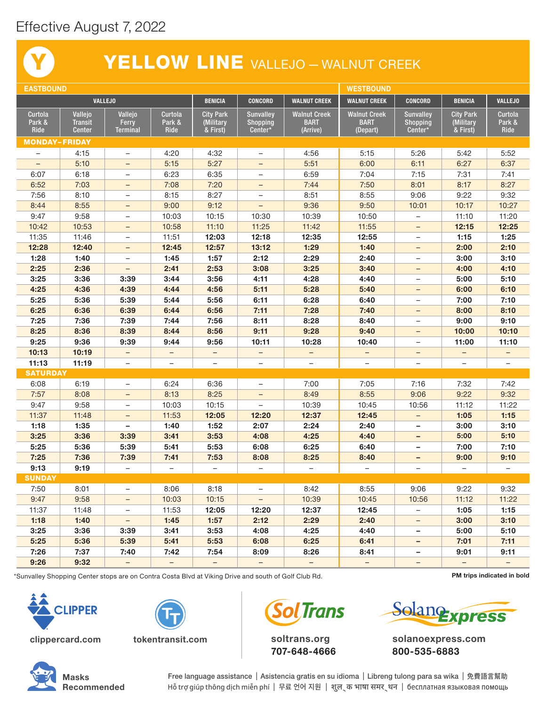## Effective August 7, 2022

Y

## YELLOW LINE VALLEJO - WALNUT CREEK

| <b>EASTBOUND</b>         |                                 |                          |                          |                          |                            |                          | <b>WESTBOUND</b>         |                            |                          |                          |
|--------------------------|---------------------------------|--------------------------|--------------------------|--------------------------|----------------------------|--------------------------|--------------------------|----------------------------|--------------------------|--------------------------|
| <b>VALLEJO</b>           |                                 |                          | <b>BENICIA</b>           | <b>CONCORD</b>           | <b>WALNUT CREEK</b>        | <b>WALNUT CREEK</b>      | <b>CONCORD</b>           | <b>BENICIA</b>             | <b>VALLEJO</b>           |                          |
| Curtola                  | Vallejo                         | Vallejo                  | Curtola                  | <b>City Park</b>         | <b>Sunvalley</b>           | <b>Walnut Creek</b>      | <b>Walnut Creek</b>      | <b>Sunvalley</b>           | <b>City Park</b>         | Curtola                  |
| Park &<br>Ride           | <b>Transit</b><br><b>Center</b> | Ferry<br>Terminal        | Park &<br>Ride           | (Military<br>$&$ First)  | <b>Shopping</b><br>Center* | <b>BART</b><br>(Arrive)  | <b>BART</b><br>(Depart)  | <b>Shopping</b><br>Center* | (Military<br>& First)    | Park &<br>Ride           |
| <b>MONDAY-FRIDAY</b>     |                                 |                          |                          |                          |                            |                          |                          |                            |                          |                          |
| $\qquad \qquad -$        | 4:15                            | $\overline{\phantom{0}}$ | 4:20                     | 4:32                     | $\overline{\phantom{0}}$   | 4:56                     | 5:15                     | 5:26                       | 5:42                     | 5:52                     |
| $\overline{\phantom{0}}$ | 5:10                            | $\overline{\phantom{a}}$ | 5:15                     | 5:27                     | $\overline{\phantom{0}}$   | 5:51                     | 6:00                     | 6:11                       | 6:27                     | 6:37                     |
| 6:07                     | 6:18                            | $\overline{\phantom{m}}$ | 6:23                     | 6:35                     | $\qquad \qquad -$          | 6:59                     | 7:04                     | 7:15                       | 7:31                     | 7:41                     |
| 6:52                     | 7:03                            | $\qquad \qquad -$        | 7:08                     | 7:20                     | $\overline{\phantom{0}}$   | 7:44                     | 7:50                     | 8:01                       | 8:17                     | 8:27                     |
| 7:56                     | 8:10                            | $\overline{\phantom{a}}$ | 8:15                     | 8:27                     | $\qquad \qquad -$          | 8:51                     | 8:55                     | 9:06                       | 9:22                     | 9:32                     |
| 8:44                     | 8:55                            | $\overline{\phantom{0}}$ | 9:00                     | 9:12                     | $\overline{\phantom{0}}$   | 9:36                     | 9:50                     | 10:01                      | 10:17                    | 10:27                    |
| 9:47                     | 9:58                            | $\qquad \qquad -$        | 10:03                    | 10:15                    | 10:30                      | 10:39                    | 10:50                    | $\qquad \qquad -$          | 11:10                    | 11:20                    |
| 10:42                    | 10:53                           | $\overline{\phantom{a}}$ | 10:58                    | 11:10                    | 11:25                      | 11:42                    | 11:55                    | $\qquad \qquad -$          | 12:15                    | 12:25                    |
| 11:35                    | 11:46                           | $\overline{\phantom{m}}$ | 11:51                    | 12:03                    | 12:18                      | 12:35                    | 12:55                    | $\overline{\phantom{m}}$   | 1:15                     | 1:25                     |
| 12:28                    | 12:40                           | $\qquad \qquad -$        | 12:45                    | 12:57                    | 13:12                      | 1:29                     | 1:40                     | -                          | 2:00                     | 2:10                     |
| 1:28                     | 1:40                            | $\overline{\phantom{a}}$ | 1:45                     | 1:57                     | 2:12                       | 2:29                     | 2:40                     | $\qquad \qquad -$          | 3:00                     | 3:10                     |
| 2:25                     | 2:36                            | $\overline{\phantom{a}}$ | 2:41                     | 2:53                     | 3:08                       | 3:25                     | 3:40                     | $\qquad \qquad -$          | 4:00                     | 4:10                     |
| 3:25                     | 3:36                            | 3:39                     | 3:44                     | 3:56                     | 4:11                       | 4:28                     | 4:40                     | $\overline{\phantom{0}}$   | 5:00                     | 5:10                     |
| 4:25                     | 4:36                            | 4:39                     | 4:44                     | 4:56                     | 5:11                       | 5:28                     | 5:40                     |                            | 6:00                     | 6:10                     |
| 5:25                     | 5:36                            | 5:39                     | 5:44                     | 5:56                     | 6:11                       | 6:28                     | 6:40                     | $\qquad \qquad -$          | 7:00                     | 7:10                     |
| 6:25                     | 6:36                            | 6:39                     | 6:44                     | 6:56                     | 7:11                       | 7:28                     | 7:40                     | $\overline{\phantom{m}}$   | 8:00                     | 8:10                     |
| 7:25                     | 7:36                            | 7:39                     | 7:44                     | 7:56                     | 8:11                       | 8:28                     | 8:40                     | $\overline{\phantom{0}}$   | 9:00                     | 9:10                     |
| 8:25                     | 8:36                            | 8:39                     | 8:44                     | 8:56                     | 9:11                       | 9:28                     | 9:40                     | $\overline{\phantom{m}}$   | 10:00                    | 10:10                    |
| 9:25                     | 9:36                            | 9:39                     | 9:44                     | 9:56                     | 10:11                      | 10:28                    | 10:40                    | $\overline{\phantom{0}}$   | 11:00                    | 11:10                    |
| 10:13                    | 10:19                           | $\qquad \qquad -$        |                          | -                        |                            |                          | -                        | -                          | $\qquad \qquad -$        |                          |
| 11:13                    | 11:19                           | $\overline{\phantom{0}}$ |                          |                          |                            |                          | $\overline{\phantom{0}}$ | $\overline{\phantom{0}}$   |                          |                          |
| <b>SATURDAY</b>          |                                 |                          |                          |                          |                            |                          |                          |                            |                          |                          |
| 6:08                     | 6:19                            | $\overline{\phantom{0}}$ | 6:24                     | 6:36                     | $\overline{\phantom{0}}$   | 7:00                     | 7:05                     | 7:16                       | 7:32                     | 7:42                     |
| 7:57                     | 8:08                            | $\overline{\phantom{a}}$ | 8:13                     | 8:25                     | -                          | 8:49                     | 8:55                     | 9:06                       | 9:22                     | 9:32                     |
| 9:47                     | 9:58                            | $\overline{\phantom{a}}$ | 10:03                    | 10:15                    | $\overline{\phantom{0}}$   | 10:39                    | 10:45                    | 10:56                      | 11:12                    | 11:22                    |
| 11:37                    | 11:48                           | $\overline{\phantom{0}}$ | 11:53                    | 12:05                    | 12:20                      | 12:37                    | 12:45                    | $\qquad \qquad -$          | 1:05                     | 1:15                     |
| 1:18                     | 1:35                            | $\overline{\phantom{a}}$ | 1:40                     | 1:52                     | 2:07                       | 2:24                     | 2:40                     | $\qquad \qquad -$          | 3:00                     | 3:10                     |
| 3:25                     | 3:36                            | 3:39                     | 3:41                     | 3:53                     | 4:08                       | 4:25                     | 4:40                     | $\qquad \qquad -$          | 5:00                     | 5:10                     |
| 5:25                     | 5:36                            | 5:39                     | 5:41                     | 5:53                     | 6:08                       | 6:25                     | 6:40                     | $\qquad \qquad -$          | 7:00                     | 7:10                     |
| 7:25                     | 7:36                            | 7:39                     | 7:41                     | 7:53                     | 8:08                       | 8:25                     | 8:40                     | -                          | 9:00                     | 9:10                     |
| 9:13                     | 9:19                            | $\overline{\phantom{0}}$ | $\qquad \qquad -$        | $\overline{\phantom{0}}$ | $\overline{\phantom{0}}$   | $\overline{\phantom{0}}$ | $\overline{\phantom{0}}$ | $\overline{\phantom{0}}$   | $\overline{\phantom{a}}$ | $\qquad \qquad -$        |
| <b>SUNDAY</b>            |                                 |                          |                          |                          |                            |                          |                          |                            |                          |                          |
| 7:50                     | 8:01                            | $\overline{\phantom{a}}$ | 8:06                     | 8:18                     | $\overline{\phantom{0}}$   | 8:42                     | 8:55                     | 9:06                       | 9:22                     | 9:32                     |
| 9:47                     | 9:58                            | $\qquad \qquad -$        | 10:03                    | 10:15                    | -                          | 10:39                    | 10:45                    | 10:56                      | 11:12                    | 11:22                    |
| 11:37                    | 11:48                           | $\qquad \qquad -$        | 11:53                    | 12:05                    | 12:20                      | 12:37                    | 12:45                    | $\overline{\phantom{m}}$   | 1:05                     | 1:15                     |
| 1:18                     | 1:40                            | $\overline{\phantom{a}}$ | 1:45                     | 1:57                     | 2:12                       | 2:29                     | 2:40                     | -                          | 3:00                     | 3:10                     |
| 3:25                     | 3:36                            | 3:39                     | 3:41                     | 3:53                     | 4:08                       | 4:25                     | 4:40                     | -                          | 5:00                     | 5:10                     |
| 5:25                     | 5:36                            | 5:39                     | 5:41                     | 5:53                     | 6:08                       | 6:25                     | 6:41                     | -                          | 7:01                     | 7:11                     |
| 7:26                     | 7:37                            | 7:40                     | 7:42                     | 7:54                     | 8:09                       | 8:26                     | 8:41                     | -                          | 9:01                     | 9:11                     |
| 9:26                     | 9:32                            | $\overline{\phantom{0}}$ | $\overline{\phantom{0}}$ | $\overline{\phantom{0}}$ | $\overline{\phantom{0}}$   | $-$                      | $\overline{\phantom{0}}$ |                            | $-$                      | $\overline{\phantom{0}}$ |

\*Sunvalley Shopping Center stops are on Contra Costa Blvd at Viking Drive and south of Golf Club Rd. **PM track and South PM trips indicated in bold** 



clippercard.com tokentransit.com





soltrans.org 707-648-4666



solanoexpress.com 800-535-6883



Free language assistance | Asistencia gratis en su idioma | Libreng tulong para sa wika | 免費語言幫助 Hỗ trợ giúp thông dịch miễn phí | 무료 언어 지원 | शुल ् क भाषा समर ् थन | бесплатная языковая помощь